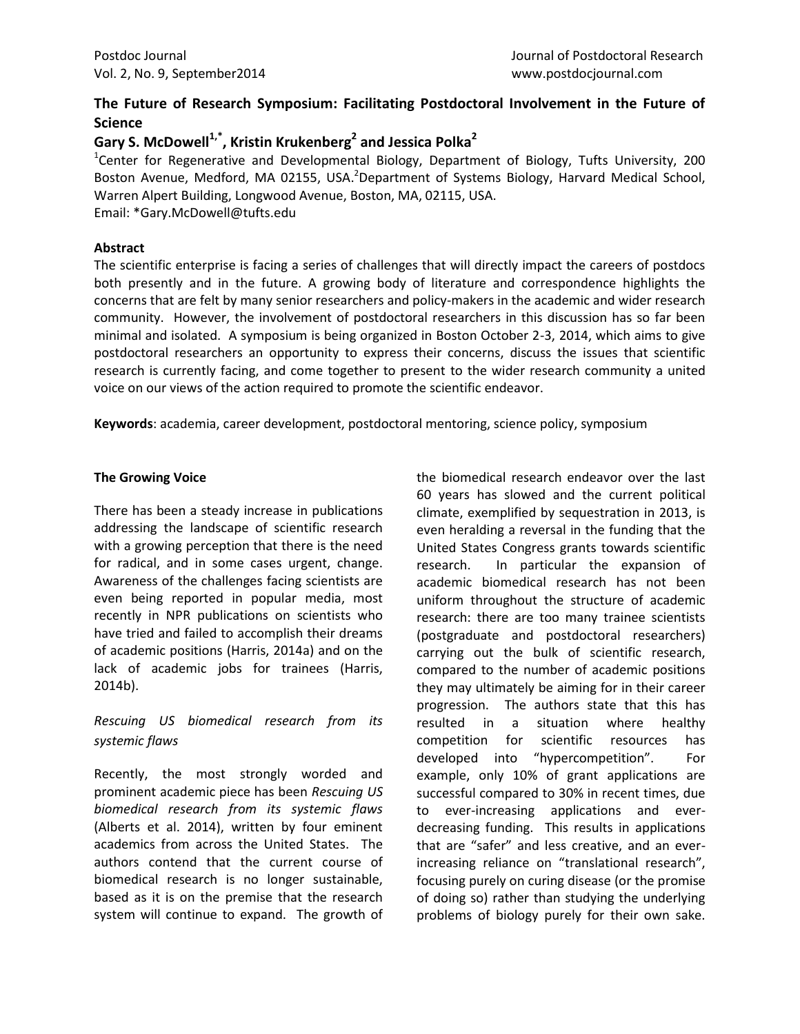# **The Future of Research Symposium: Facilitating Postdoctoral Involvement in the Future of Science**

# **Gary S. McDowell1,\*, Kristin Krukenberg<sup>2</sup> and Jessica Polka<sup>2</sup>**

<sup>1</sup>Center for Regenerative and Developmental Biology, Department of Biology, Tufts University, 200 Boston Avenue, Medford, MA 02155, USA.<sup>2</sup>Department of Systems Biology, Harvard Medical School, Warren Alpert Building, Longwood Avenue, Boston, MA, 02115, USA. Email: [\\*Gary.McDowell@tufts.edu](mailto:Gary.McDowell@tufts.edu)

## **Abstract**

The scientific enterprise is facing a series of challenges that will directly impact the careers of postdocs both presently and in the future. A growing body of literature and correspondence highlights the concerns that are felt by many senior researchers and policy-makers in the academic and wider research community. However, the involvement of postdoctoral researchers in this discussion has so far been minimal and isolated. A symposium is being organized in Boston October 2-3, 2014, which aims to give postdoctoral researchers an opportunity to express their concerns, discuss the issues that scientific research is currently facing, and come together to present to the wider research community a united voice on our views of the action required to promote the scientific endeavor.

**Keywords**: academia, career development, postdoctoral mentoring, science policy, symposium

## **The Growing Voice**

There has been a steady increase in publications addressing the landscape of scientific research with a growing perception that there is the need for radical, and in some cases urgent, change. Awareness of the challenges facing scientists are even being reported in popular media, most recently in NPR publications on scientists who have tried and failed to accomplish their dreams of academic positions (Harris, 2014a) and on the lack of academic jobs for trainees (Harris, 2014b).

# *Rescuing US biomedical research from its systemic flaws*

Recently, the most strongly worded and prominent academic piece has been *Rescuing US biomedical research from its systemic flaws* (Alberts et al. 2014), written by four eminent academics from across the United States. The authors contend that the current course of biomedical research is no longer sustainable, based as it is on the premise that the research system will continue to expand. The growth of the biomedical research endeavor over the last 60 years has slowed and the current political climate, exemplified by sequestration in 2013, is even heralding a reversal in the funding that the United States Congress grants towards scientific research. In particular the expansion of academic biomedical research has not been uniform throughout the structure of academic research: there are too many trainee scientists (postgraduate and postdoctoral researchers) carrying out the bulk of scientific research, compared to the number of academic positions they may ultimately be aiming for in their career progression. The authors state that this has resulted in a situation where healthy competition for scientific resources has developed into "hypercompetition". For example, only 10% of grant applications are successful compared to 30% in recent times, due to ever-increasing applications and everdecreasing funding. This results in applications that are "safer" and less creative, and an everincreasing reliance on "translational research", focusing purely on curing disease (or the promise of doing so) rather than studying the underlying problems of biology purely for their own sake.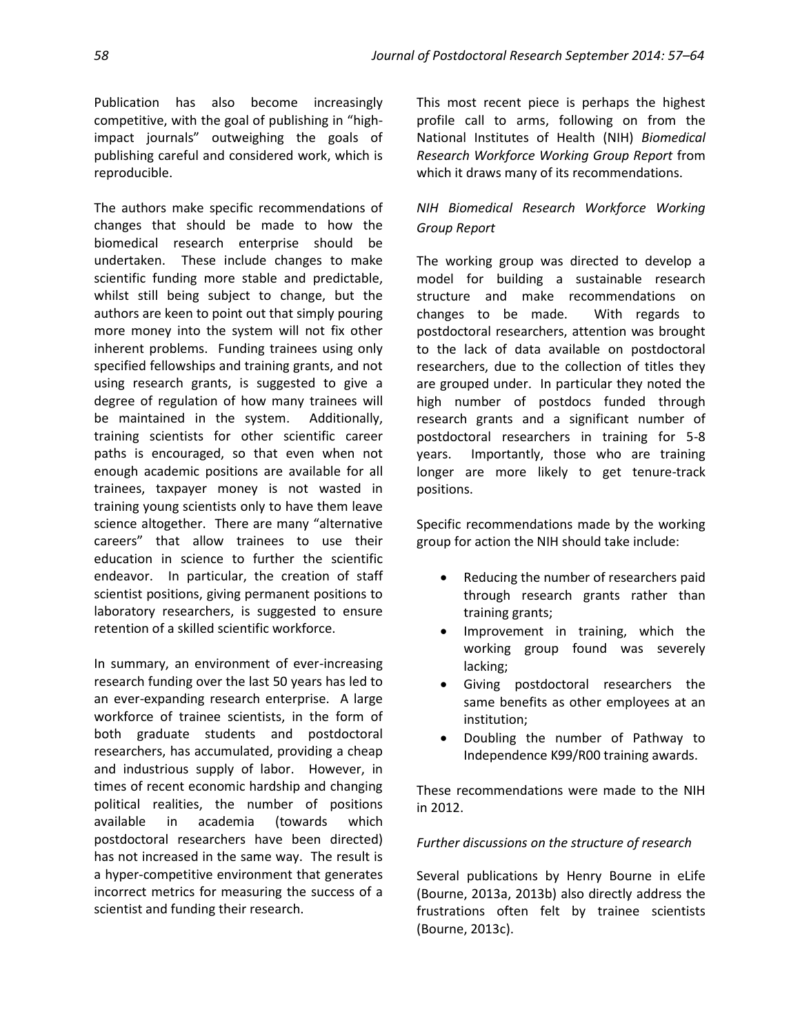Publication has also become increasingly competitive, with the goal of publishing in "highimpact journals" outweighing the goals of publishing careful and considered work, which is reproducible.

The authors make specific recommendations of changes that should be made to how the biomedical research enterprise should be undertaken. These include changes to make scientific funding more stable and predictable, whilst still being subject to change, but the authors are keen to point out that simply pouring more money into the system will not fix other inherent problems. Funding trainees using only specified fellowships and training grants, and not using research grants, is suggested to give a degree of regulation of how many trainees will be maintained in the system. Additionally, training scientists for other scientific career paths is encouraged, so that even when not enough academic positions are available for all trainees, taxpayer money is not wasted in training young scientists only to have them leave science altogether. There are many "alternative careers" that allow trainees to use their education in science to further the scientific endeavor. In particular, the creation of staff scientist positions, giving permanent positions to laboratory researchers, is suggested to ensure retention of a skilled scientific workforce.

In summary, an environment of ever-increasing research funding over the last 50 years has led to an ever-expanding research enterprise. A large workforce of trainee scientists, in the form of both graduate students and postdoctoral researchers, has accumulated, providing a cheap and industrious supply of labor. However, in times of recent economic hardship and changing political realities, the number of positions available in academia (towards which postdoctoral researchers have been directed) has not increased in the same way. The result is a hyper-competitive environment that generates incorrect metrics for measuring the success of a scientist and funding their research.

This most recent piece is perhaps the highest profile call to arms, following on from the National Institutes of Health (NIH) *Biomedical Research Workforce Working Group Report* from which it draws many of its recommendations.

# *NIH Biomedical Research Workforce Working Group Report*

The working group was directed to develop a model for building a sustainable research structure and make recommendations on changes to be made. With regards to postdoctoral researchers, attention was brought to the lack of data available on postdoctoral researchers, due to the collection of titles they are grouped under. In particular they noted the high number of postdocs funded through research grants and a significant number of postdoctoral researchers in training for 5-8 years. Importantly, those who are training longer are more likely to get tenure-track positions.

Specific recommendations made by the working group for action the NIH should take include:

- Reducing the number of researchers paid through research grants rather than training grants;
- Improvement in training, which the working group found was severely lacking;
- Giving postdoctoral researchers the same benefits as other employees at an institution;
- Doubling the number of Pathway to Independence K99/R00 training awards.

These recommendations were made to the NIH in 2012.

## *Further discussions on the structure of research*

Several publications by Henry Bourne in eLife (Bourne, 2013a, 2013b) also directly address the frustrations often felt by trainee scientists (Bourne, 2013c).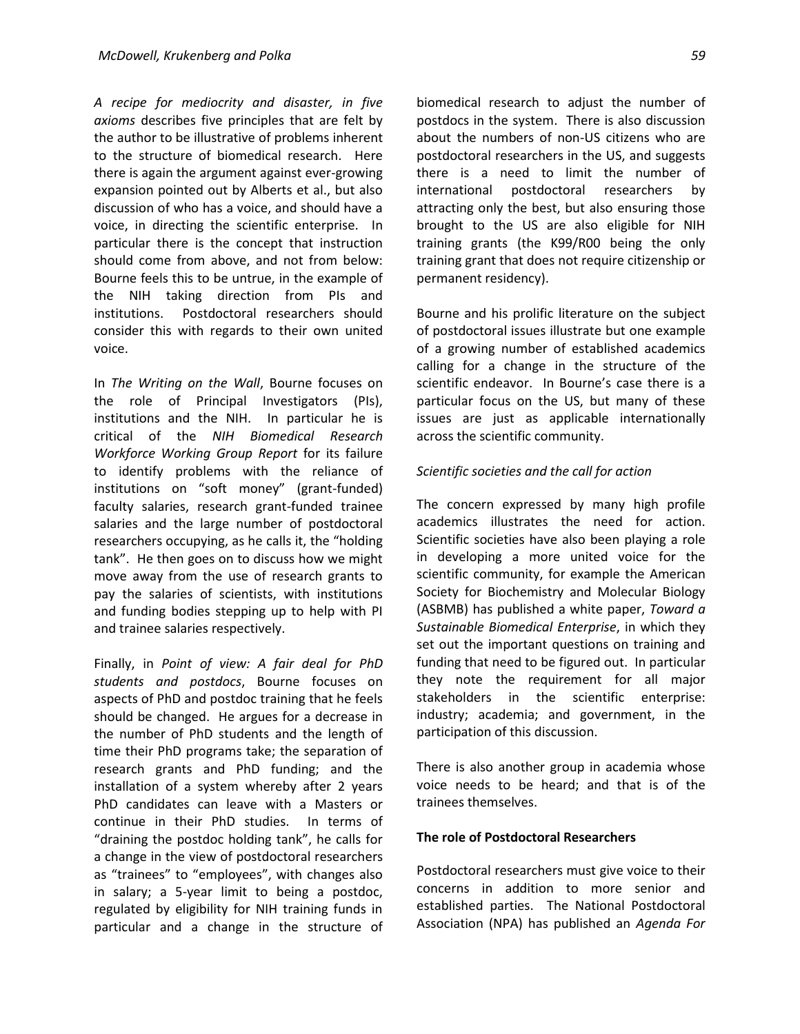*A recipe for mediocrity and disaster, in five axioms* describes five principles that are felt by the author to be illustrative of problems inherent to the structure of biomedical research. Here there is again the argument against ever-growing expansion pointed out by Alberts et al., but also discussion of who has a voice, and should have a voice, in directing the scientific enterprise. In particular there is the concept that instruction should come from above, and not from below: Bourne feels this to be untrue, in the example of the NIH taking direction from PIs and institutions. Postdoctoral researchers should consider this with regards to their own united voice.

In *The Writing on the Wall*, Bourne focuses on the role of Principal Investigators (PIs), institutions and the NIH. In particular he is critical of the *NIH Biomedical Research Workforce Working Group Report* for its failure to identify problems with the reliance of institutions on "soft money" (grant-funded) faculty salaries, research grant-funded trainee salaries and the large number of postdoctoral researchers occupying, as he calls it, the "holding tank". He then goes on to discuss how we might move away from the use of research grants to pay the salaries of scientists, with institutions and funding bodies stepping up to help with PI and trainee salaries respectively.

Finally, in *Point of view: A fair deal for PhD students and postdocs*, Bourne focuses on aspects of PhD and postdoc training that he feels should be changed. He argues for a decrease in the number of PhD students and the length of time their PhD programs take; the separation of research grants and PhD funding; and the installation of a system whereby after 2 years PhD candidates can leave with a Masters or continue in their PhD studies. In terms of "draining the postdoc holding tank", he calls for a change in the view of postdoctoral researchers as "trainees" to "employees", with changes also in salary; a 5-year limit to being a postdoc, regulated by eligibility for NIH training funds in particular and a change in the structure of biomedical research to adjust the number of postdocs in the system. There is also discussion about the numbers of non-US citizens who are postdoctoral researchers in the US, and suggests there is a need to limit the number of international postdoctoral researchers by attracting only the best, but also ensuring those brought to the US are also eligible for NIH training grants (the K99/R00 being the only training grant that does not require citizenship or permanent residency).

Bourne and his prolific literature on the subject of postdoctoral issues illustrate but one example of a growing number of established academics calling for a change in the structure of the scientific endeavor. In Bourne's case there is a particular focus on the US, but many of these issues are just as applicable internationally across the scientific community.

#### *Scientific societies and the call for action*

The concern expressed by many high profile academics illustrates the need for action. Scientific societies have also been playing a role in developing a more united voice for the scientific community, for example the American Society for Biochemistry and Molecular Biology (ASBMB) has published a white paper, *Toward a Sustainable Biomedical Enterprise*, in which they set out the important questions on training and funding that need to be figured out. In particular they note the requirement for all major stakeholders in the scientific enterprise: industry; academia; and government, in the participation of this discussion.

There is also another group in academia whose voice needs to be heard; and that is of the trainees themselves.

#### **The role of Postdoctoral Researchers**

Postdoctoral researchers must give voice to their concerns in addition to more senior and established parties. The National Postdoctoral Association (NPA) has published an *Agenda For*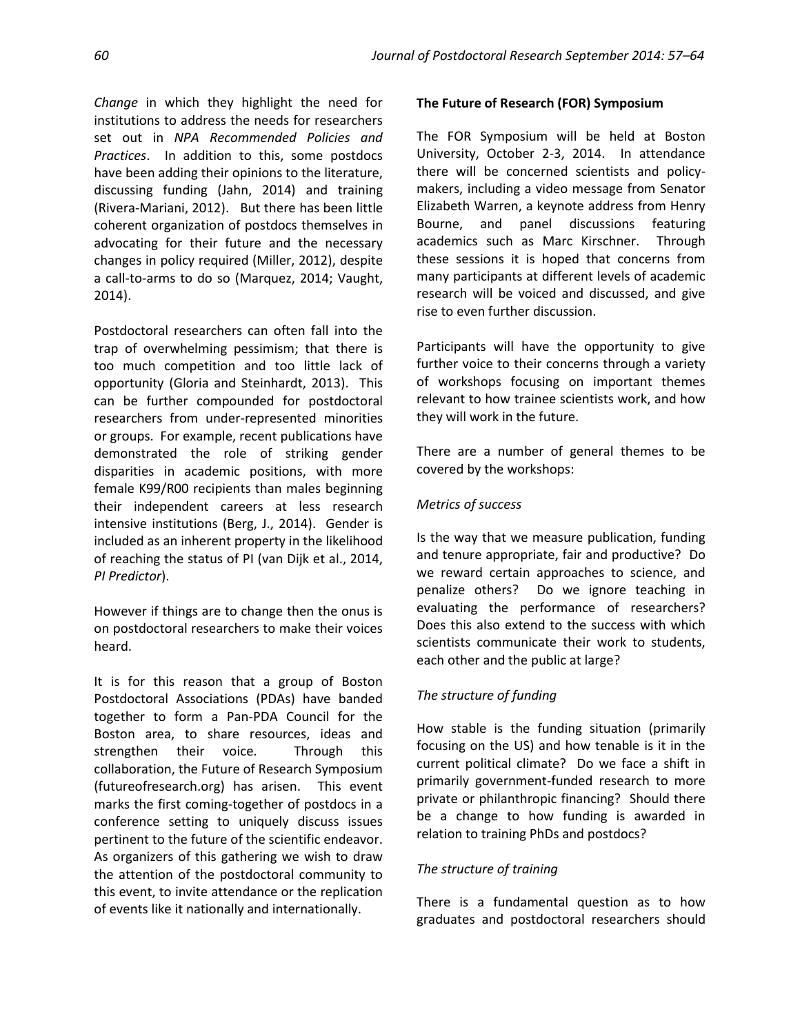*Change* in which they highlight the need for institutions to address the needs for researchers set out in *NPA Recommended Policies and Practices*. In addition to this, some postdocs have been adding their opinions to the literature, discussing funding (Jahn, 2014) and training (Rivera-Mariani, 2012). But there has been little coherent organization of postdocs themselves in advocating for their future and the necessary changes in policy required (Miller, 2012), despite a call-to-arms to do so (Marquez, 2014; Vaught, 2014).

Postdoctoral researchers can often fall into the trap of overwhelming pessimism; that there is too much competition and too little lack of opportunity (Gloria and Steinhardt, 2013). This can be further compounded for postdoctoral researchers from under-represented minorities or groups. For example, recent publications have demonstrated the role of striking gender disparities in academic positions, with more female K99/R00 recipients than males beginning their independent careers at less research intensive institutions (Berg, J., 2014). Gender is included as an inherent property in the likelihood of reaching the status of PI (van Dijk et al., 2014, *PI Predictor*).

However if things are to change then the onus is on postdoctoral researchers to make their voices heard.

It is for this reason that a group of Boston Postdoctoral Associations (PDAs) have banded together to form a Pan-PDA Council for the Boston area, to share resources, ideas and strengthen their voice. Through this collaboration, the Future of Research Symposium (futureofresearch.org) has arisen. This event marks the first coming-together of postdocs in a conference setting to uniquely discuss issues pertinent to the future of the scientific endeavor. As organizers of this gathering we wish to draw the attention of the postdoctoral community to this event, to invite attendance or the replication of events like it nationally and internationally.

## **The Future of Research (FOR) Symposium**

The FOR Symposium will be held at Boston University, October 2-3, 2014. In attendance there will be concerned scientists and policymakers, including a video message from Senator Elizabeth Warren, a keynote address from Henry Bourne, and panel discussions featuring academics such as Marc Kirschner. Through these sessions it is hoped that concerns from many participants at different levels of academic research will be voiced and discussed, and give rise to even further discussion.

Participants will have the opportunity to give further voice to their concerns through a variety of workshops focusing on important themes relevant to how trainee scientists work, and how they will work in the future.

There are a number of general themes to be covered by the workshops:

## *Metrics of success*

Is the way that we measure publication, funding and tenure appropriate, fair and productive? Do we reward certain approaches to science, and penalize others? Do we ignore teaching in evaluating the performance of researchers? Does this also extend to the success with which scientists communicate their work to students, each other and the public at large?

## *The structure of funding*

How stable is the funding situation (primarily focusing on the US) and how tenable is it in the current political climate? Do we face a shift in primarily government-funded research to more private or philanthropic financing? Should there be a change to how funding is awarded in relation to training PhDs and postdocs?

## *The structure of training*

There is a fundamental question as to how graduates and postdoctoral researchers should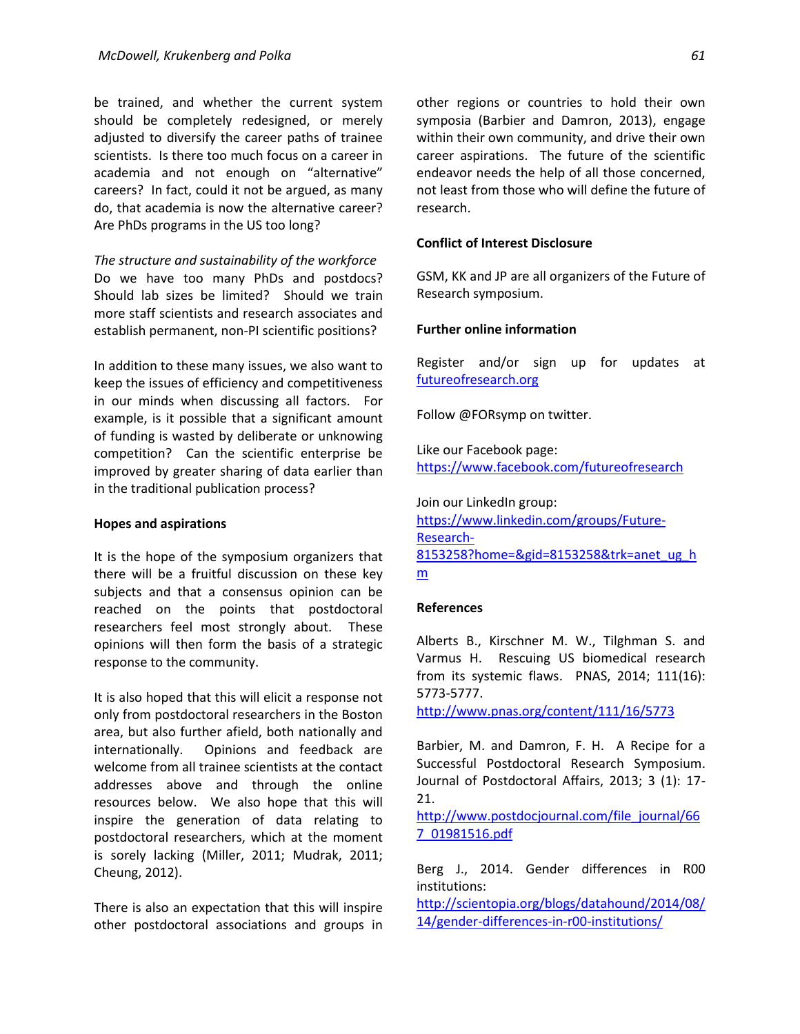be trained, and whether the current system should be completely redesigned, or merely adjusted to diversify the career paths of trainee scientists. Is there too much focus on a career in academia and not enough on "alternative" careers? In fact, could it not be argued, as many do, that academia is now the alternative career? Are PhDs programs in the US too long?

*The structure and sustainability of the workforce* Do we have too many PhDs and postdocs? Should lab sizes be limited? Should we train more staff scientists and research associates and establish permanent, non-PI scientific positions?

In addition to these many issues, we also want to keep the issues of efficiency and competitiveness in our minds when discussing all factors. For example, is it possible that a significant amount of funding is wasted by deliberate or unknowing competition? Can the scientific enterprise be improved by greater sharing of data earlier than in the traditional publication process?

## **Hopes and aspirations**

It is the hope of the symposium organizers that there will be a fruitful discussion on these key subjects and that a consensus opinion can be reached on the points that postdoctoral researchers feel most strongly about. These opinions will then form the basis of a strategic response to the community.

It is also hoped that this will elicit a response not only from postdoctoral researchers in the Boston area, but also further afield, both nationally and internationally. Opinions and feedback are welcome from all trainee scientists at the contact addresses above and through the online resources below. We also hope that this will inspire the generation of data relating to postdoctoral researchers, which at the moment is sorely lacking (Miller, 2011; Mudrak, 2011; Cheung, 2012).

There is also an expectation that this will inspire other postdoctoral associations and groups in

other regions or countries to hold their own symposia (Barbier and Damron, 2013), engage within their own community, and drive their own career aspirations. The future of the scientific endeavor needs the help of all those concerned, not least from those who will define the future of research.

### **Conflict of Interest Disclosure**

GSM, KK and JP are all organizers of the Future of Research symposium.

#### **Further online information**

Register and/or sign up for updates at [futureofresearch.org](http://www.futureofresearch.org/)

Follow @FORsymp on twitter.

Like our Facebook page: <https://www.facebook.com/futureofresearch>

Join our LinkedIn group: [https://www.linkedin.com/groups/Future-](https://www.linkedin.com/groups/Future-Research-8153258?home=&gid=8153258&trk=anet_ug_hm)[Research-](https://www.linkedin.com/groups/Future-Research-8153258?home=&gid=8153258&trk=anet_ug_hm)[8153258?home=&gid=8153258&trk=anet\\_ug\\_h](https://www.linkedin.com/groups/Future-Research-8153258?home=&gid=8153258&trk=anet_ug_hm)  $\underline{m}$  $\underline{m}$  $\underline{m}$ 

#### **References**

Alberts B., Kirschner M. W., Tilghman S. and Varmus H. Rescuing US biomedical research from its systemic flaws. PNAS, 2014; 111(16): 5773-5777.

<http://www.pnas.org/content/111/16/5773>

Barbier, M. and Damron, F. H. A Recipe for a Successful Postdoctoral Research Symposium. Journal of Postdoctoral Affairs, 2013; 3 (1): 17- 21.

[http://www.postdocjournal.com/file\\_journal/66](http://www.postdocjournal.com/file_journal/667_01981516.pdf) [7\\_01981516.pdf](http://www.postdocjournal.com/file_journal/667_01981516.pdf)

Berg J., 2014. Gender differences in R00 institutions:

[http://scientopia.org/blogs/datahound/2014/08/](http://scientopia.org/blogs/datahound/2014/08/14/gender-differences-in-r00-institutions/) [14/gender-differences-in-r00-institutions/](http://scientopia.org/blogs/datahound/2014/08/14/gender-differences-in-r00-institutions/)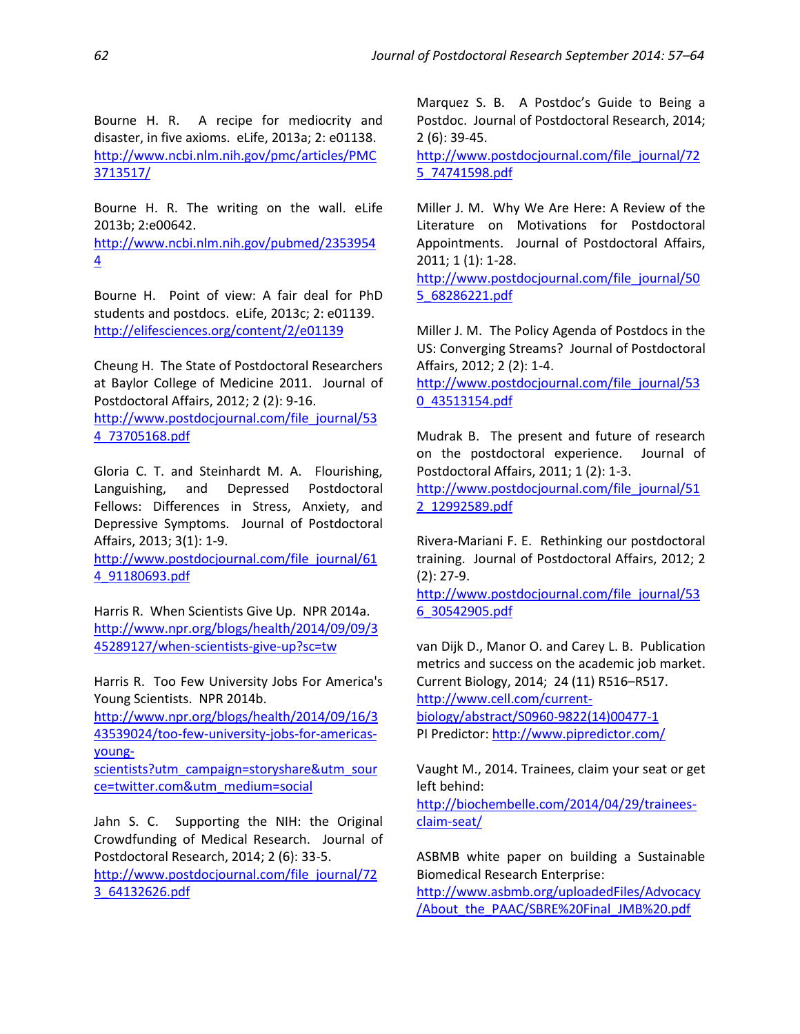Bourne H. R. A recipe for mediocrity and disaster, in five axioms. eLife, 2013a; 2: e01138. [http://www.ncbi.nlm.nih.gov/pmc/articles/PMC](http://www.ncbi.nlm.nih.gov/pmc/articles/PMC3713517/) [3713517/](http://www.ncbi.nlm.nih.gov/pmc/articles/PMC3713517/)

Bourne H. R. The writing on the wall. eLife 2013b; 2:e00642.

[http://www.ncbi.nlm.nih.gov/pubmed/2353954](http://www.ncbi.nlm.nih.gov/pubmed/23539544) [4](http://www.ncbi.nlm.nih.gov/pubmed/23539544)

Bourne H. Point of view: A fair deal for PhD students and postdocs. eLife, 2013c; 2: e01139. <http://elifesciences.org/content/2/e01139>

Cheung H. The State of Postdoctoral Researchers at Baylor College of Medicine 2011. Journal of Postdoctoral Affairs, 2012; 2 (2): 9-16.

[http://www.postdocjournal.com/file\\_journal/53](http://www.postdocjournal.com/file_journal/534_73705168.pdf) [4\\_73705168.pdf](http://www.postdocjournal.com/file_journal/534_73705168.pdf)

Gloria C. T. and Steinhardt M. A. Flourishing, Languishing, and Depressed Postdoctoral Fellows: Differences in Stress, Anxiety, and Depressive Symptoms. Journal of Postdoctoral Affairs, 2013; 3(1): 1-9.

[http://www.postdocjournal.com/file\\_journal/61](http://www.postdocjournal.com/file_journal/614_91180693.pdf) [4\\_91180693.pdf](http://www.postdocjournal.com/file_journal/614_91180693.pdf)

Harris R. When Scientists Give Up. NPR 2014a. [http://www.npr.org/blogs/health/2014/09/09/3](http://www.npr.org/blogs/health/2014/09/09/345289127/when-scientists-give-up?sc=tw) [45289127/when-scientists-give-up?sc=tw](http://www.npr.org/blogs/health/2014/09/09/345289127/when-scientists-give-up?sc=tw)

Harris R. Too Few University Jobs For America's Young Scientists. NPR 2014b.

http://www.npr.org/blogs/health/2014/09/16/3 43539024/too-few-university-jobs-for-americasyoung-

scientists?utm\_campaign=storyshare&utm\_sour ce=twitter.com&utm\_medium=social

Jahn S. C. Supporting the NIH: the Original Crowdfunding of Medical Research. Journal of Postdoctoral Research, 2014; 2 (6): 33-5. [http://www.postdocjournal.com/file\\_journal/72](http://www.postdocjournal.com/file_journal/723_64132626.pdf) [3\\_64132626.pdf](http://www.postdocjournal.com/file_journal/723_64132626.pdf)

Marquez S. B. A Postdoc's Guide to Being a Postdoc. Journal of Postdoctoral Research, 2014; 2 (6): 39-45.

[http://www.postdocjournal.com/file\\_journal/72](http://www.postdocjournal.com/file_journal/725_74741598.pdf) [5\\_74741598.pdf](http://www.postdocjournal.com/file_journal/725_74741598.pdf)

Miller J. M. Why We Are Here: A Review of the Literature on Motivations for Postdoctoral Appointments. Journal of Postdoctoral Affairs, 2011; 1 (1): 1-28.

[http://www.postdocjournal.com/file\\_journal/50](http://www.postdocjournal.com/file_journal/505_68286221.pdf) [5\\_68286221.pdf](http://www.postdocjournal.com/file_journal/505_68286221.pdf)

Miller J. M. The Policy Agenda of Postdocs in the US: Converging Streams? Journal of Postdoctoral Affairs, 2012; 2 (2): 1-4.

[http://www.postdocjournal.com/file\\_journal/53](http://www.postdocjournal.com/file_journal/530_43513154.pdf) [0\\_43513154.pdf](http://www.postdocjournal.com/file_journal/530_43513154.pdf)

Mudrak B. The present and future of research on the postdoctoral experience. Journal of Postdoctoral Affairs, 2011; 1 (2): 1-3.

[http://www.postdocjournal.com/file\\_journal/51](http://www.postdocjournal.com/file_journal/512_12992589.pdf) [2\\_12992589.pdf](http://www.postdocjournal.com/file_journal/512_12992589.pdf)

Rivera-Mariani F. E. Rethinking our postdoctoral training. Journal of Postdoctoral Affairs, 2012; 2 (2): 27-9.

[http://www.postdocjournal.com/file\\_journal/53](http://www.postdocjournal.com/file_journal/536_30542905.pdf) [6\\_30542905.pdf](http://www.postdocjournal.com/file_journal/536_30542905.pdf)

van Dijk D., Manor O. and Carey L. B. Publication metrics and success on the academic job market. Current Biology, 2014; 24 (11) R516–R517. [http://www.cell.com/current](http://www.cell.com/current-biology/abstract/S0960-9822(14)00477-1)[biology/abstract/S0960-9822\(14\)00477-1](http://www.cell.com/current-biology/abstract/S0960-9822(14)00477-1) PI Predictor: <http://www.pipredictor.com/>

Vaught M., 2014. Trainees, claim your seat or get left behind:

[http://biochembelle.com/2014/04/29/trainees](http://biochembelle.com/2014/04/29/trainees-claim-seat/)[claim-seat/](http://biochembelle.com/2014/04/29/trainees-claim-seat/)

ASBMB white paper on building a Sustainable Biomedical Research Enterprise:

[http://www.asbmb.org/uploadedFiles/Advocacy](http://www.asbmb.org/uploadedFiles/Advocacy/About_the_PAAC/SBRE%20Final_JMB%20.pdf) [/About\\_the\\_PAAC/SBRE%20Final\\_JMB%20.pdf](http://www.asbmb.org/uploadedFiles/Advocacy/About_the_PAAC/SBRE%20Final_JMB%20.pdf)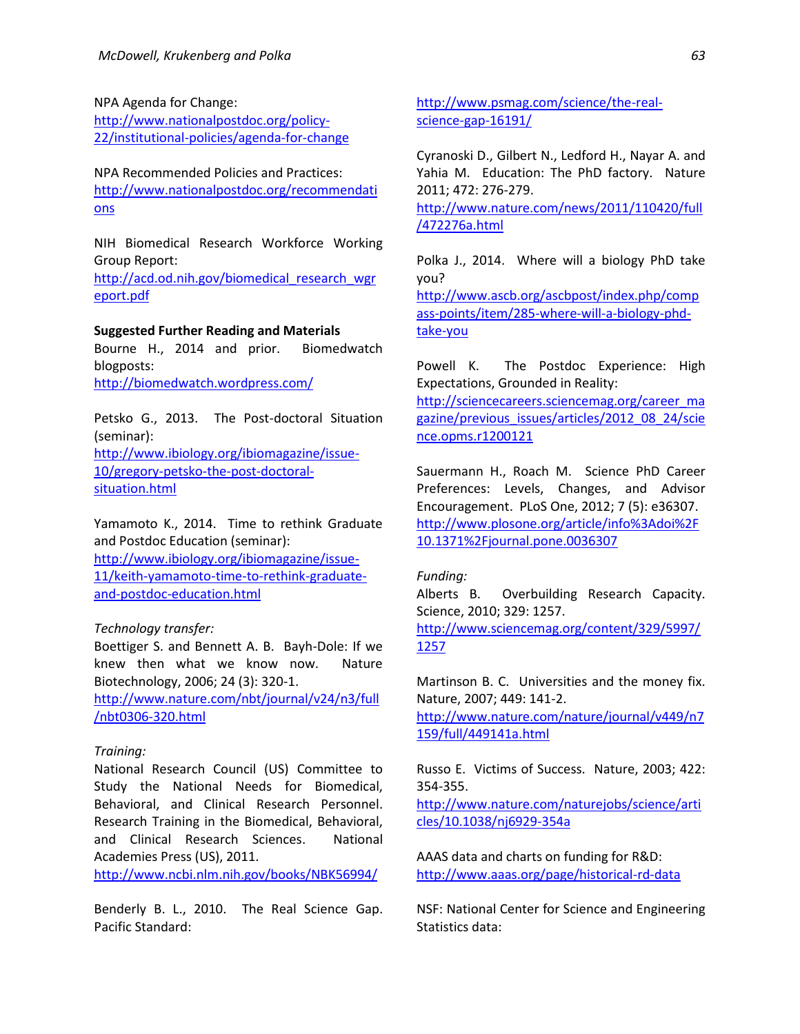#### NPA Agenda for Change:

[http://www.nationalpostdoc.org/policy-](http://www.nationalpostdoc.org/policy-22/institutional-policies/agenda-for-change)[22/institutional-policies/agenda-for-change](http://www.nationalpostdoc.org/policy-22/institutional-policies/agenda-for-change)

NPA Recommended Policies and Practices: [http://www.nationalpostdoc.org/recommendati](http://www.nationalpostdoc.org/recommendations) [ons](http://www.nationalpostdoc.org/recommendations)

NIH Biomedical Research Workforce Working Group Report:

[http://acd.od.nih.gov/biomedical\\_research\\_wgr](http://acd.od.nih.gov/biomedical_research_wgreport.pdf) [eport.pdf](http://acd.od.nih.gov/biomedical_research_wgreport.pdf)

#### **Suggested Further Reading and Materials**

Bourne H., 2014 and prior. Biomedwatch blogposts:

<http://biomedwatch.wordpress.com/>

Petsko G., 2013. The Post-doctoral Situation (seminar):

[http://www.ibiology.org/ibiomagazine/issue-](http://www.ibiology.org/ibiomagazine/issue-10/gregory-petsko-the-post-doctoral-situation.html)[10/gregory-petsko-the-post-doctoral](http://www.ibiology.org/ibiomagazine/issue-10/gregory-petsko-the-post-doctoral-situation.html)[situation.html](http://www.ibiology.org/ibiomagazine/issue-10/gregory-petsko-the-post-doctoral-situation.html)

Yamamoto K., 2014. Time to rethink Graduate and Postdoc Education (seminar):

[http://www.ibiology.org/ibiomagazine/issue-](http://www.ibiology.org/ibiomagazine/issue-11/keith-yamamoto-time-to-rethink-graduate-and-postdoc-education.html)[11/keith-yamamoto-time-to-rethink-graduate](http://www.ibiology.org/ibiomagazine/issue-11/keith-yamamoto-time-to-rethink-graduate-and-postdoc-education.html)[and-postdoc-education.html](http://www.ibiology.org/ibiomagazine/issue-11/keith-yamamoto-time-to-rethink-graduate-and-postdoc-education.html)

## *Technology transfer:*

Boettiger S. and Bennett A. B. Bayh-Dole: If we knew then what we know now. Nature Biotechnology, 2006; 24 (3): 320-1.

[http://www.nature.com/nbt/journal/v24/n3/full](http://www.nature.com/nbt/journal/v24/n3/full/nbt0306-320.html) [/nbt0306-320.html](http://www.nature.com/nbt/journal/v24/n3/full/nbt0306-320.html)

#### *Training:*

National Research Council (US) Committee to Study the National Needs for Biomedical, Behavioral, and Clinical Research Personnel. Research Training in the Biomedical, Behavioral, and Clinical Research Sciences. National Academies Press (US), 2011.

<http://www.ncbi.nlm.nih.gov/books/NBK56994/>

Benderly B. L., 2010. The Real Science Gap. Pacific Standard:

[http://www.psmag.com/science/the-real](http://www.psmag.com/science/the-real-science-gap-16191/)[science-gap-16191/](http://www.psmag.com/science/the-real-science-gap-16191/)

Cyranoski D., Gilbert N., Ledford H., Nayar A. and Yahia M. Education: The PhD factory. Nature 2011; 472: 276-279.

[http://www.nature.com/news/2011/110420/full](http://www.nature.com/news/2011/110420/full/472276a.html) [/472276a.html](http://www.nature.com/news/2011/110420/full/472276a.html)

Polka J., 2014. Where will a biology PhD take you? [http://www.ascb.org/ascbpost/index.php/comp](http://www.ascb.org/ascbpost/index.php/compass-points/item/285-where-will-a-biology-phd-take-you) [ass-points/item/285-where-will-a-biology-phd-](http://www.ascb.org/ascbpost/index.php/compass-points/item/285-where-will-a-biology-phd-take-you)

[take-you](http://www.ascb.org/ascbpost/index.php/compass-points/item/285-where-will-a-biology-phd-take-you)

Powell K. The Postdoc Experience: High Expectations, Grounded in Reality: [http://sciencecareers.sciencemag.org/career\\_ma](http://sciencecareers.sciencemag.org/career_magazine/previous_issues/articles/2012_08_24/science.opms.r1200121)

[gazine/previous\\_issues/articles/2012\\_08\\_24/scie](http://sciencecareers.sciencemag.org/career_magazine/previous_issues/articles/2012_08_24/science.opms.r1200121) [nce.opms.r1200121](http://sciencecareers.sciencemag.org/career_magazine/previous_issues/articles/2012_08_24/science.opms.r1200121)

Sauermann H., Roach M. Science PhD Career Preferences: Levels, Changes, and Advisor Encouragement. PLoS One, 2012; 7 (5): e36307. [http://www.plosone.org/article/info%3Adoi%2F](http://www.plosone.org/article/info%3Adoi%2F10.1371%2Fjournal.pone.0036307) [10.1371%2Fjournal.pone.0036307](http://www.plosone.org/article/info%3Adoi%2F10.1371%2Fjournal.pone.0036307)

#### *Funding:*

Alberts B. Overbuilding Research Capacity. Science, 2010; 329: 1257.

[http://www.sciencemag.org/content/329/5997/](http://www.sciencemag.org/content/329/5997/1257) [1257](http://www.sciencemag.org/content/329/5997/1257)

Martinson B. C. Universities and the money fix. Nature, 2007; 449: 141-2.

[http://www.nature.com/nature/journal/v449/n7](http://www.nature.com/nature/journal/v449/n7159/full/449141a.html) [159/full/449141a.html](http://www.nature.com/nature/journal/v449/n7159/full/449141a.html)

Russo E. Victims of Success. Nature, 2003; 422: 354-355.

[http://www.nature.com/naturejobs/science/arti](http://www.nature.com/naturejobs/science/articles/10.1038/nj6929-354a) [cles/10.1038/nj6929-354a](http://www.nature.com/naturejobs/science/articles/10.1038/nj6929-354a)

AAAS data and charts on funding for R&D: <http://www.aaas.org/page/historical-rd-data>

NSF: National Center for Science and Engineering Statistics data: